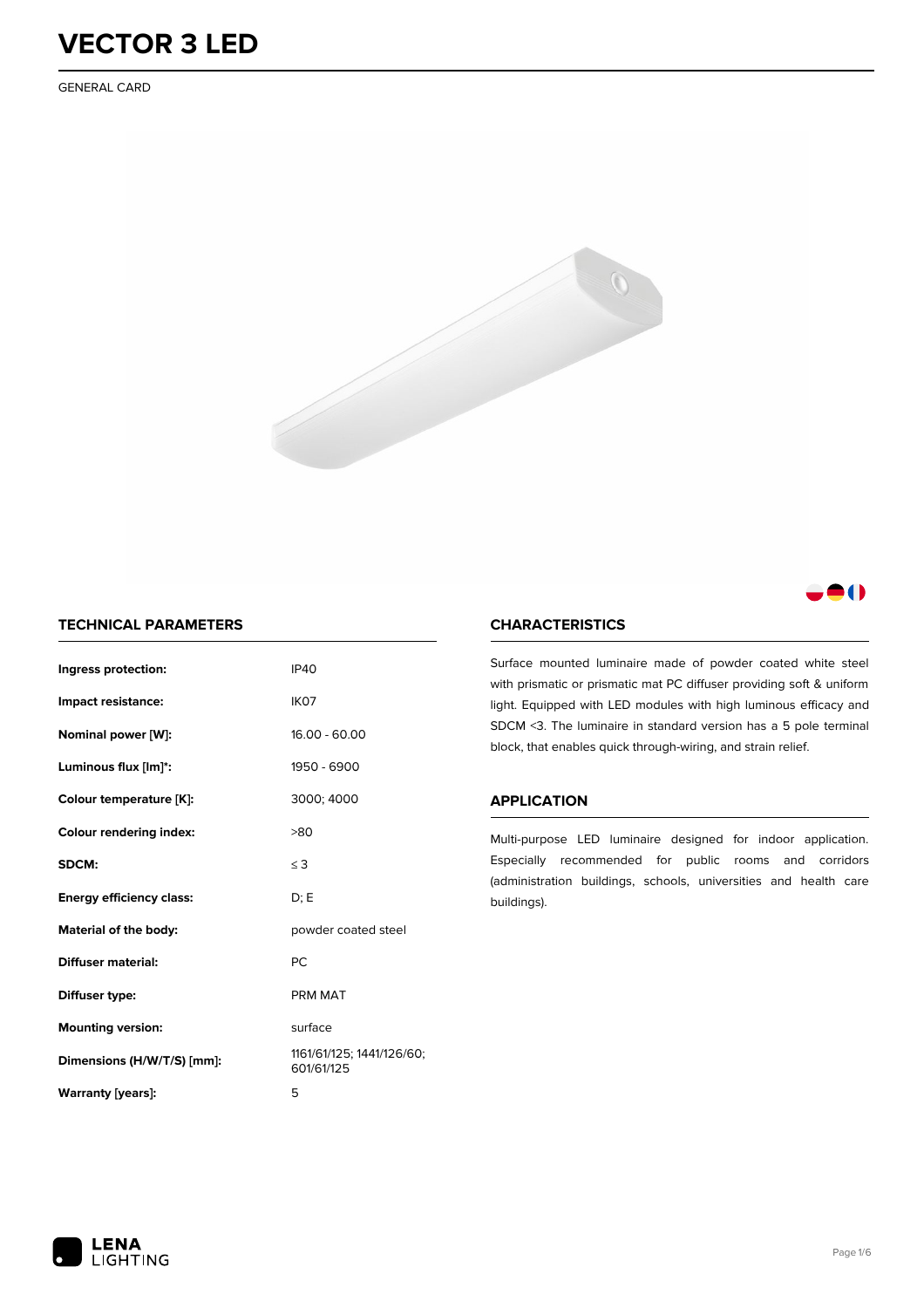GENERAL CARD



### -0

### **TECHNICAL PARAMETERS**

| Ingress protection:             | <b>IP40</b>                             |
|---------------------------------|-----------------------------------------|
| Impact resistance:              | IK <sub>07</sub>                        |
| Nominal power [W]:              | $16.00 - 60.00$                         |
| Luminous flux [lm]*:            | 1950 - 6900                             |
| Colour temperature [K]:         | 3000; 4000                              |
| <b>Colour rendering index:</b>  | >80                                     |
| SDCM:                           | $\leq$ 3                                |
| <b>Energy efficiency class:</b> | D: E                                    |
| Material of the body:           | powder coated steel                     |
| <b>Diffuser material:</b>       | PC                                      |
| Diffuser type:                  | PRM MAT                                 |
| <b>Mounting version:</b>        | surface                                 |
| Dimensions (H/W/T/S) [mm]:      | 1161/61/125; 1441/126/60;<br>601/61/125 |
| Warranty (years):               | 5                                       |

### **CHARACTERISTICS**

Surface mounted luminaire made of powder coated white steel with prismatic or prismatic mat PC diffuser providing soft & uniform light. Equipped with LED modules with high luminous efficacy and SDCM <3. The luminaire in standard version has a 5 pole terminal block, that enables quick through-wiring, and strain relief.

#### **APPLICATION**

Multi-purpose LED luminaire designed for indoor application. Especially recommended for public rooms and corridors (administration buildings, schools, universities and health care buildings).

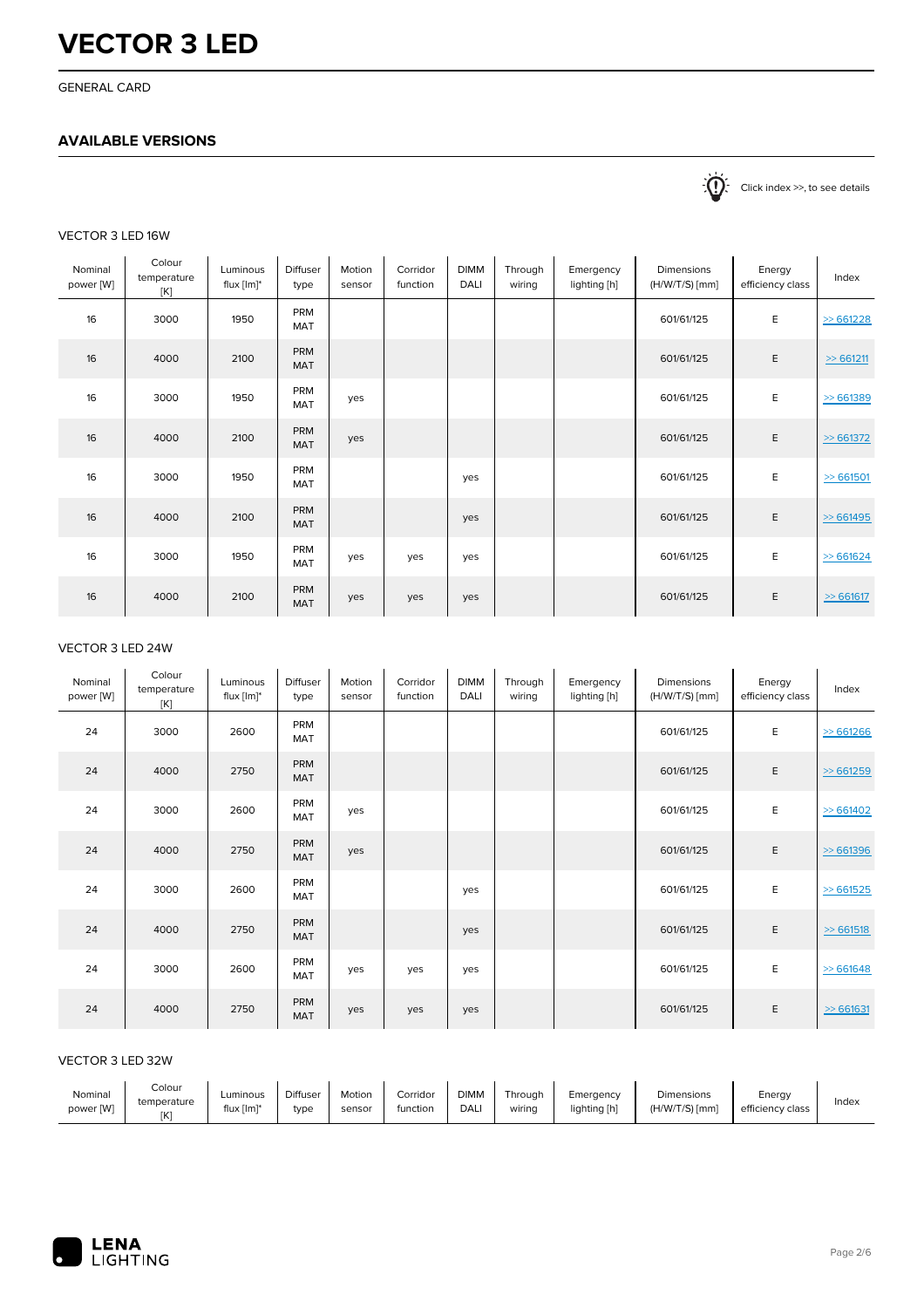GENERAL CARD

### **AVAILABLE VERSIONS**

 $\sum_{n=1}^{\infty}$  Click index >>, to see details

#### VECTOR 3 LED 16W

| Nominal<br>power [W] | Colour<br>temperature<br>[K] | Luminous<br>flux $[Im]^*$ | <b>Diffuser</b><br>type | Motion<br>sensor | Corridor<br>function | <b>DIMM</b><br>DALI | Through<br>wiring | Emergency<br>lighting [h] | Dimensions<br>$(H/W/T/S)$ [mm] | Energy<br>efficiency class | Index        |
|----------------------|------------------------------|---------------------------|-------------------------|------------------|----------------------|---------------------|-------------------|---------------------------|--------------------------------|----------------------------|--------------|
| 16                   | 3000                         | 1950                      | PRM<br>MAT              |                  |                      |                     |                   |                           | 601/61/125                     | E                          | > 661228     |
| 16                   | 4000                         | 2100                      | PRM<br>MAT              |                  |                      |                     |                   |                           | 601/61/125                     | E                          | $\gg$ 661211 |
| 16                   | 3000                         | 1950                      | PRM<br>MAT              | yes              |                      |                     |                   |                           | 601/61/125                     | E                          | > 661389     |
| 16                   | 4000                         | 2100                      | <b>PRM</b><br>MAT       | yes              |                      |                     |                   |                           | 601/61/125                     | E                          | > 661372     |
| 16                   | 3000                         | 1950                      | PRM<br>MAT              |                  |                      | yes                 |                   |                           | 601/61/125                     | E                          | > 661501     |
| 16                   | 4000                         | 2100                      | PRM<br>MAT              |                  |                      | yes                 |                   |                           | 601/61/125                     | E                          | > 661495     |
| 16                   | 3000                         | 1950                      | PRM<br>MAT              | yes              | yes                  | yes                 |                   |                           | 601/61/125                     | E                          | > 661624     |
| 16                   | 4000                         | 2100                      | PRM<br><b>MAT</b>       | yes              | yes                  | yes                 |                   |                           | 601/61/125                     | Ε                          | $\gg$ 661617 |

### VECTOR 3 LED 24W

| Nominal<br>power [W] | Colour<br>temperature<br>[K] | Luminous<br>flux $[Im]^*$ | Diffuser<br>type  | Motion<br>sensor | Corridor<br>function | <b>DIMM</b><br>DALI | Through<br>wirina | Emergency<br>lighting [h] | <b>Dimensions</b><br>$(H/W/T/S)$ [mm] | Energy<br>efficiency class | Index        |
|----------------------|------------------------------|---------------------------|-------------------|------------------|----------------------|---------------------|-------------------|---------------------------|---------------------------------------|----------------------------|--------------|
| 24                   | 3000                         | 2600                      | PRM<br>MAT        |                  |                      |                     |                   |                           | 601/61/125                            | E                          | > 661266     |
| 24                   | 4000                         | 2750                      | <b>PRM</b><br>MAT |                  |                      |                     |                   |                           | 601/61/125                            | E                          | > 661259     |
| 24                   | 3000                         | 2600                      | PRM<br>MAT        | yes              |                      |                     |                   |                           | 601/61/125                            | E                          | > 661402     |
| 24                   | 4000                         | 2750                      | PRM<br>MAT        | yes              |                      |                     |                   |                           | 601/61/125                            | E                          | > 661396     |
| 24                   | 3000                         | 2600                      | PRM<br>MAT        |                  |                      | yes                 |                   |                           | 601/61/125                            | E                          | > 661525     |
| 24                   | 4000                         | 2750                      | PRM<br>MAT        |                  |                      | yes                 |                   |                           | 601/61/125                            | E                          | > 661518     |
| 24                   | 3000                         | 2600                      | PRM<br>MAT        | yes              | yes                  | yes                 |                   |                           | 601/61/125                            | E                          | > 661648     |
| 24                   | 4000                         | 2750                      | PRM<br>MAT        | yes              | yes                  | yes                 |                   |                           | 601/61/125                            | E                          | $\ge 661631$ |

#### VECTOR 3 LED 32W

| Nominal<br>power [W] | Colour<br>temperature<br>[K] | Luminous<br>flux $[Im]^*$ | <b>Diffuser</b><br>type | Motion<br>sensor | Corridor<br>function | <b>DIMM</b><br>DALI | Throuah<br>wiring | Emergency<br>lighting [h] | Dimensions<br>$(H/W/T/S)$ [mm] | Energy<br>efficiency class | Index |
|----------------------|------------------------------|---------------------------|-------------------------|------------------|----------------------|---------------------|-------------------|---------------------------|--------------------------------|----------------------------|-------|
|----------------------|------------------------------|---------------------------|-------------------------|------------------|----------------------|---------------------|-------------------|---------------------------|--------------------------------|----------------------------|-------|

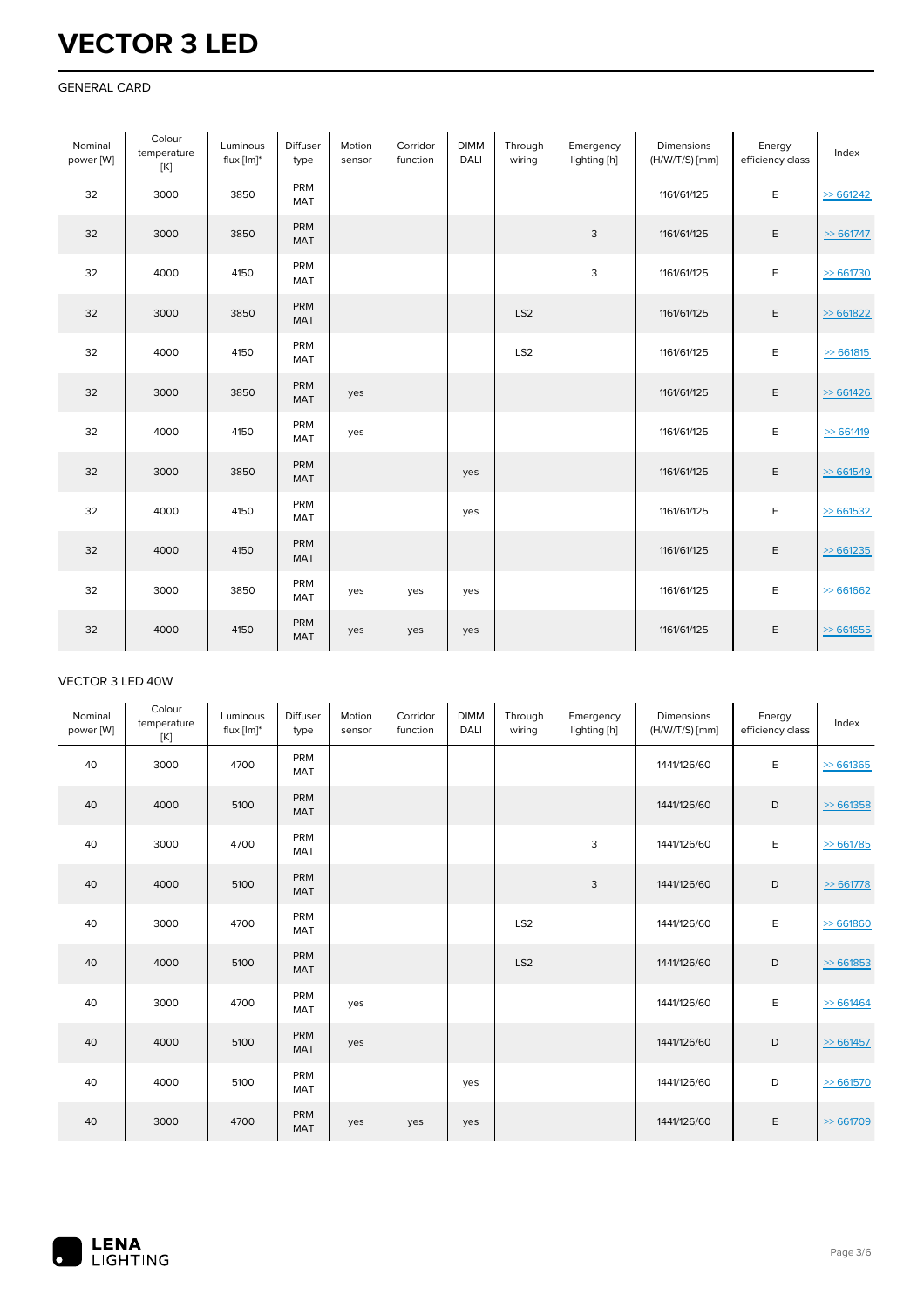#### GENERAL CARD

| Nominal<br>power [W] | Colour<br>temperature<br>[K] | Luminous<br>flux $[Im]^*$ | Diffuser<br>type  | Motion<br>sensor | Corridor<br>function | <b>DIMM</b><br>DALI | Through<br>wiring | Emergency<br>lighting [h] | Dimensions<br>$(H/W/T/S)$ [mm] | Energy<br>efficiency class | Index        |
|----------------------|------------------------------|---------------------------|-------------------|------------------|----------------------|---------------------|-------------------|---------------------------|--------------------------------|----------------------------|--------------|
| 32                   | 3000                         | 3850                      | PRM<br>MAT        |                  |                      |                     |                   |                           | 1161/61/125                    | E                          | > 661242     |
| 32                   | 3000                         | 3850                      | PRM<br>MAT        |                  |                      |                     |                   | 3                         | 1161/61/125                    | E                          | $\gg$ 661747 |
| 32                   | 4000                         | 4150                      | PRM<br>MAT        |                  |                      |                     |                   | 3                         | 1161/61/125                    | E                          | $\ge 661730$ |
| 32                   | 3000                         | 3850                      | PRM<br><b>MAT</b> |                  |                      |                     | LS <sub>2</sub>   |                           | 1161/61/125                    | $\mathsf E$                | > 661822     |
| 32                   | 4000                         | 4150                      | PRM<br>MAT        |                  |                      |                     | LS <sub>2</sub>   |                           | 1161/61/125                    | E                          | > 661815     |
| 32                   | 3000                         | 3850                      | PRM<br>MAT        | yes              |                      |                     |                   |                           | 1161/61/125                    | E                          | > 661426     |
| 32                   | 4000                         | 4150                      | PRM<br>MAT        | yes              |                      |                     |                   |                           | 1161/61/125                    | E                          | > 661419     |
| 32                   | 3000                         | 3850                      | PRM<br>MAT        |                  |                      | yes                 |                   |                           | 1161/61/125                    | $\mathsf E$                | > 661549     |
| 32                   | 4000                         | 4150                      | PRM<br>MAT        |                  |                      | yes                 |                   |                           | 1161/61/125                    | E                          | $\ge 661532$ |
| 32                   | 4000                         | 4150                      | PRM<br><b>MAT</b> |                  |                      |                     |                   |                           | 1161/61/125                    | E                          | > 661235     |
| 32                   | 3000                         | 3850                      | PRM<br>MAT        | yes              | yes                  | yes                 |                   |                           | 1161/61/125                    | E                          | > 661662     |
| 32                   | 4000                         | 4150                      | PRM<br>MAT        | yes              | yes                  | yes                 |                   |                           | 1161/61/125                    | E                          | > 661655     |

#### VECTOR 3 LED 40W

| Nominal<br>power [W] | Colour<br>temperature<br>[K] | Luminous<br>flux $[Im]^*$ | <b>Diffuser</b><br>type | Motion<br>sensor | Corridor<br>function | <b>DIMM</b><br><b>DALI</b> | Through<br>wiring | Emergency<br>lighting [h] | <b>Dimensions</b><br>$(H/W/T/S)$ [mm] | Energy<br>efficiency class | Index        |
|----------------------|------------------------------|---------------------------|-------------------------|------------------|----------------------|----------------------------|-------------------|---------------------------|---------------------------------------|----------------------------|--------------|
| 40                   | 3000                         | 4700                      | PRM<br>MAT              |                  |                      |                            |                   |                           | 1441/126/60                           | E                          | > 661365     |
| 40                   | 4000                         | 5100                      | PRM<br><b>MAT</b>       |                  |                      |                            |                   |                           | 1441/126/60                           | D                          | > 661358     |
| 40                   | 3000                         | 4700                      | PRM<br><b>MAT</b>       |                  |                      |                            |                   | 3                         | 1441/126/60                           | Е                          | > 661785     |
| 40                   | 4000                         | 5100                      | PRM<br><b>MAT</b>       |                  |                      |                            |                   | 3                         | 1441/126/60                           | D                          | > 661778     |
| 40                   | 3000                         | 4700                      | PRM<br><b>MAT</b>       |                  |                      |                            | LS <sub>2</sub>   |                           | 1441/126/60                           | E                          | > 661860     |
| 40                   | 4000                         | 5100                      | PRM<br><b>MAT</b>       |                  |                      |                            | LS <sub>2</sub>   |                           | 1441/126/60                           | D                          | > 661853     |
| 40                   | 3000                         | 4700                      | PRM<br>MAT              | yes              |                      |                            |                   |                           | 1441/126/60                           | E                          | $\ge 661464$ |
| 40                   | 4000                         | 5100                      | PRM<br><b>MAT</b>       | yes              |                      |                            |                   |                           | 1441/126/60                           | D                          | $\ge 661457$ |
| 40                   | 4000                         | 5100                      | PRM<br>MAT              |                  |                      | yes                        |                   |                           | 1441/126/60                           | D                          | $\ge 661570$ |
| 40                   | 3000                         | 4700                      | PRM<br><b>MAT</b>       | yes              | yes                  | yes                        |                   |                           | 1441/126/60                           | E                          | $\ge 661709$ |

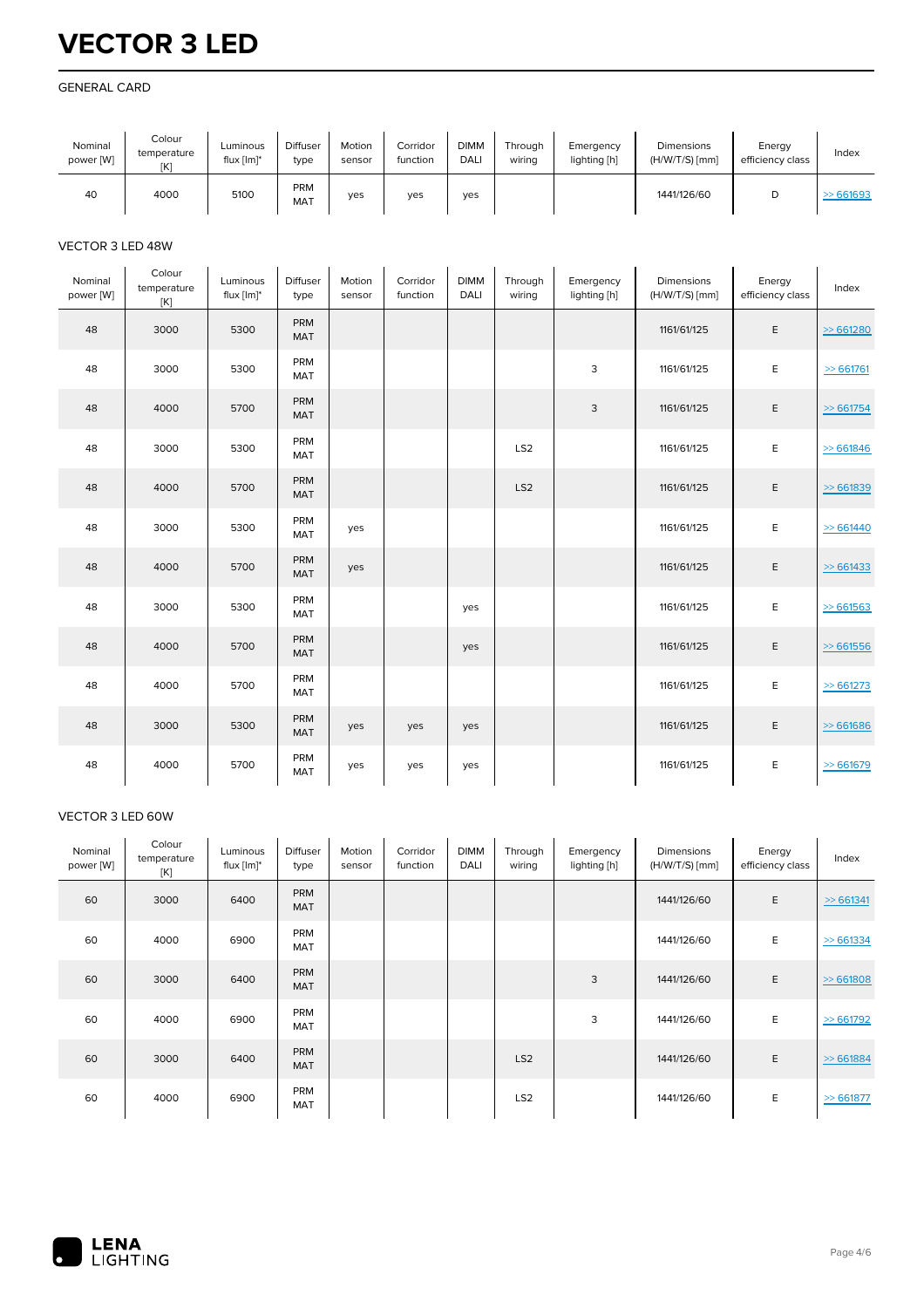#### GENERAL CARD

| Nominal<br>power [W] | Colour<br>temperature<br>[K] | Luminous<br>flux $[Im]^*$ | <b>Diffuser</b><br>type | Motion<br>sensor | Corridor<br>function | <b>DIMM</b><br><b>DALI</b> | Through<br>wirina | Emergency<br>lighting [h] | <b>Dimensions</b><br>$(H/W/T/S)$ [mm] | Energy<br>efficiency class | Index    |
|----------------------|------------------------------|---------------------------|-------------------------|------------------|----------------------|----------------------------|-------------------|---------------------------|---------------------------------------|----------------------------|----------|
| 40                   | 4000                         | 5100                      | PRM<br><b>MAT</b>       | yes              | ves                  | ves                        |                   |                           | 1441/126/60                           | u                          | > 661693 |

#### VECTOR 3 LED 48W

| Nominal<br>power [W] | Colour<br>temperature<br>[K] | Luminous<br>flux [lm]* | Diffuser<br>type  | Motion<br>sensor | Corridor<br>function | <b>DIMM</b><br>DALI | Through<br>wiring | Emergency<br>lighting [h] | Dimensions<br>(H/W/T/S) [mm] | Energy<br>efficiency class | Index        |
|----------------------|------------------------------|------------------------|-------------------|------------------|----------------------|---------------------|-------------------|---------------------------|------------------------------|----------------------------|--------------|
| 48                   | 3000                         | 5300                   | PRM<br>MAT        |                  |                      |                     |                   |                           | 1161/61/125                  | E                          | > 661280     |
| 48                   | 3000                         | 5300                   | PRM<br>MAT        |                  |                      |                     |                   | 3                         | 1161/61/125                  | E                          | $\ge 661761$ |
| 48                   | 4000                         | 5700                   | PRM<br><b>MAT</b> |                  |                      |                     |                   | 3                         | 1161/61/125                  | E                          | $\gg 661754$ |
| 48                   | 3000                         | 5300                   | PRM<br>MAT        |                  |                      |                     | LS <sub>2</sub>   |                           | 1161/61/125                  | E                          | > 661846     |
| 48                   | 4000                         | 5700                   | <b>PRM</b><br>MAT |                  |                      |                     | LS <sub>2</sub>   |                           | 1161/61/125                  | E                          | > 661839     |
| 48                   | 3000                         | 5300                   | PRM<br>MAT        | yes              |                      |                     |                   |                           | 1161/61/125                  | E                          | > 661440     |
| 48                   | 4000                         | 5700                   | PRM<br><b>MAT</b> | yes              |                      |                     |                   |                           | 1161/61/125                  | Ε                          | $\ge 661433$ |
| 48                   | 3000                         | 5300                   | PRM<br>MAT        |                  |                      | yes                 |                   |                           | 1161/61/125                  | E                          | > 661563     |
| 48                   | 4000                         | 5700                   | PRM<br>MAT        |                  |                      | yes                 |                   |                           | 1161/61/125                  | E                          | > 661556     |
| 48                   | 4000                         | 5700                   | PRM<br>MAT        |                  |                      |                     |                   |                           | 1161/61/125                  | E                          | > 661273     |
| 48                   | 3000                         | 5300                   | PRM<br>MAT        | yes              | yes                  | yes                 |                   |                           | 1161/61/125                  | E                          | > 661686     |
| 48                   | 4000                         | 5700                   | PRM<br>MAT        | yes              | yes                  | yes                 |                   |                           | 1161/61/125                  | E                          | $\ge 661679$ |

#### VECTOR 3 LED 60W

| Nominal<br>power [W] | Colour<br>temperature<br>[K] | Luminous<br>flux $[Im]^*$ | <b>Diffuser</b><br>type  | Motion<br>sensor | Corridor<br>function | <b>DIMM</b><br>DALI | Through<br>wiring | Emergency<br>lighting [h] | <b>Dimensions</b><br>$(H/W/T/S)$ [mm] | Energy<br>efficiency class | Index        |
|----------------------|------------------------------|---------------------------|--------------------------|------------------|----------------------|---------------------|-------------------|---------------------------|---------------------------------------|----------------------------|--------------|
| 60                   | 3000                         | 6400                      | <b>PRM</b><br><b>MAT</b> |                  |                      |                     |                   |                           | 1441/126/60                           | E                          | > 661341     |
| 60                   | 4000                         | 6900                      | PRM<br>MAT               |                  |                      |                     |                   |                           | 1441/126/60                           | E                          | $\gg$ 661334 |
| 60                   | 3000                         | 6400                      | <b>PRM</b><br><b>MAT</b> |                  |                      |                     |                   | 3                         | 1441/126/60                           | E                          | $\ge 661808$ |
| 60                   | 4000                         | 6900                      | <b>PRM</b><br>MAT        |                  |                      |                     |                   | 3                         | 1441/126/60                           | E                          | $\ge 661792$ |
| 60                   | 3000                         | 6400                      | PRM<br>MAT               |                  |                      |                     | LS <sub>2</sub>   |                           | 1441/126/60                           | E                          | > 661884     |
| 60                   | 4000                         | 6900                      | PRM<br><b>MAT</b>        |                  |                      |                     | LS <sub>2</sub>   |                           | 1441/126/60                           | E                          | $\ge 661877$ |

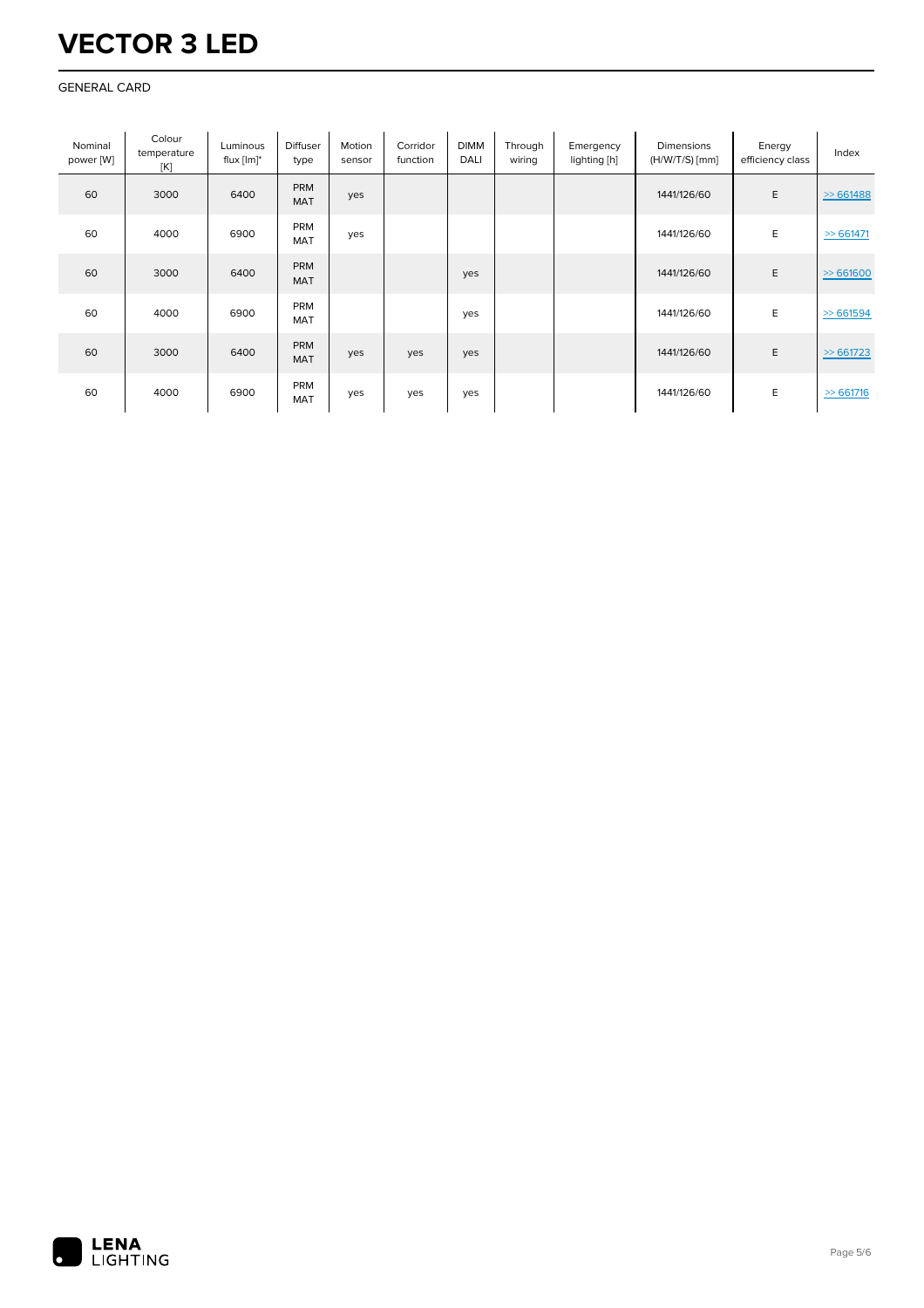#### GENERAL CARD

| Nominal<br>power [W] | Colour<br>temperature<br>[K] | Luminous<br>flux $[Im]^*$ | <b>Diffuser</b><br>type  | Motion<br>sensor | Corridor<br>function | <b>DIMM</b><br>DALI | Through<br>wiring | Emergency<br>lighting [h] | Dimensions<br>$(H/W/T/S)$ [mm] | Energy<br>efficiency class | Index        |
|----------------------|------------------------------|---------------------------|--------------------------|------------------|----------------------|---------------------|-------------------|---------------------------|--------------------------------|----------------------------|--------------|
| 60                   | 3000                         | 6400                      | <b>PRM</b><br><b>MAT</b> | yes              |                      |                     |                   |                           | 1441/126/60                    | E                          | > 661488     |
| 60                   | 4000                         | 6900                      | PRM<br><b>MAT</b>        | yes              |                      |                     |                   |                           | 1441/126/60                    | E                          | $\gg$ 661471 |
| 60                   | 3000                         | 6400                      | PRM<br><b>MAT</b>        |                  |                      | yes                 |                   |                           | 1441/126/60                    | E                          | > 661600     |
| 60                   | 4000                         | 6900                      | <b>PRM</b><br>MAT        |                  |                      | yes                 |                   |                           | 1441/126/60                    | E                          | > 661594     |
| 60                   | 3000                         | 6400                      | <b>PRM</b><br><b>MAT</b> | yes              | yes                  | yes                 |                   |                           | 1441/126/60                    | E                          | > 661723     |
| 60                   | 4000                         | 6900                      | PRM<br><b>MAT</b>        | yes              | yes                  | yes                 |                   |                           | 1441/126/60                    | E                          | $\gg$ 661716 |